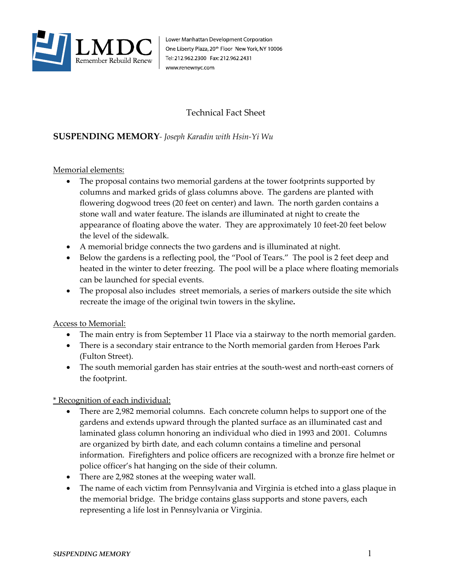

Lower Manhattan Development Corporation One Liberty Plaza, 20<sup>th</sup> Floor New York, NY 10006 Tel: 212.962.2300 Fax: 212.962.2431 www.renewnyc.com

## Technical Fact Sheet

## **SUSPENDING MEMORY***- Joseph Karadin with Hsin-Yi Wu*

Memorial elements:

- The proposal contains two memorial gardens at the tower footprints supported by columns and marked grids of glass columns above. The gardens are planted with flowering dogwood trees (20 feet on center) and lawn. The north garden contains a stone wall and water feature. The islands are illuminated at night to create the appearance of floating above the water. They are approximately 10 feet-20 feet below the level of the sidewalk.
- A memorial bridge connects the two gardens and is illuminated at night.
- Below the gardens is a reflecting pool, the "Pool of Tears." The pool is 2 feet deep and heated in the winter to deter freezing. The pool will be a place where floating memorials can be launched for special events.
- The proposal also includes street memorials, a series of markers outside the site which recreate the image of the original twin towers in the skyline**.**

Access to Memorial:

- The main entry is from September 11 Place via a stairway to the north memorial garden.
- There is a secondary stair entrance to the North memorial garden from Heroes Park (Fulton Street).
- The south memorial garden has stair entries at the south-west and north-east corners of the footprint.

\* Recognition of each individual:

- There are 2,982 memorial columns. Each concrete column helps to support one of the gardens and extends upward through the planted surface as an illuminated cast and laminated glass column honoring an individual who died in 1993 and 2001. Columns are organized by birth date, and each column contains a timeline and personal information. Firefighters and police officers are recognized with a bronze fire helmet or police officer's hat hanging on the side of their column.
- There are 2,982 stones at the weeping water wall.
- The name of each victim from Pennsylvania and Virginia is etched into a glass plaque in the memorial bridge. The bridge contains glass supports and stone pavers, each representing a life lost in Pennsylvania or Virginia.